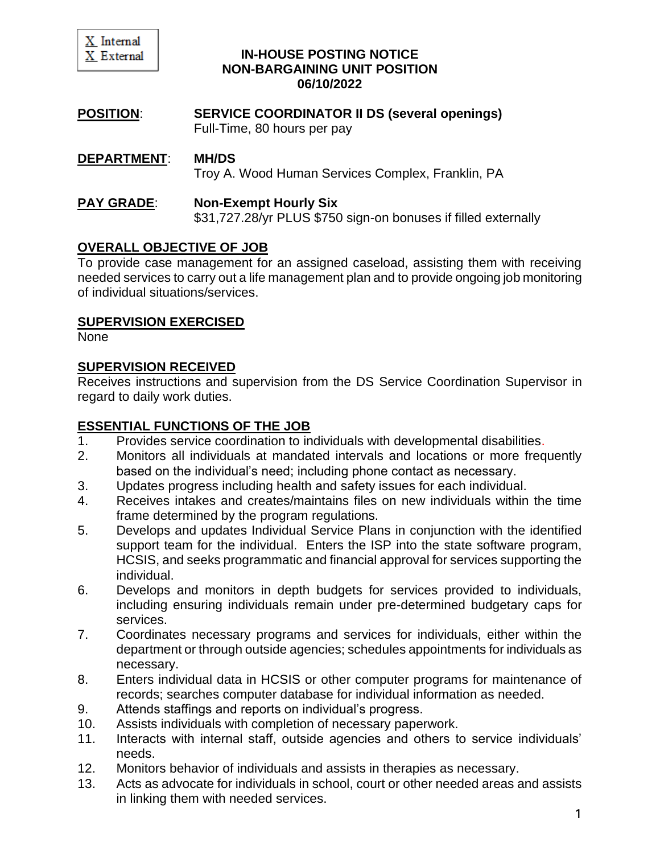

#### **IN-HOUSE POSTING NOTICE NON-BARGAINING UNIT POSITION 06/10/2022**

**POSITION**: **SERVICE COORDINATOR II DS (several openings)** Full-Time, 80 hours per pay

### **DEPARTMENT**: **MH/DS**

Troy A. Wood Human Services Complex, Franklin, PA

# **PAY GRADE**: **Non-Exempt Hourly Six**

\$31,727.28/yr PLUS \$750 sign-on bonuses if filled externally

### **OVERALL OBJECTIVE OF JOB**

To provide case management for an assigned caseload, assisting them with receiving needed services to carry out a life management plan and to provide ongoing job monitoring of individual situations/services.

### **SUPERVISION EXERCISED**

None

### **SUPERVISION RECEIVED**

Receives instructions and supervision from the DS Service Coordination Supervisor in regard to daily work duties.

### **ESSENTIAL FUNCTIONS OF THE JOB**

- 1. Provides service coordination to individuals with developmental disabilities.
- 2. Monitors all individuals at mandated intervals and locations or more frequently based on the individual's need; including phone contact as necessary.
- 3. Updates progress including health and safety issues for each individual.
- 4. Receives intakes and creates/maintains files on new individuals within the time frame determined by the program regulations.
- 5. Develops and updates Individual Service Plans in conjunction with the identified support team for the individual. Enters the ISP into the state software program, HCSIS, and seeks programmatic and financial approval for services supporting the individual.
- 6. Develops and monitors in depth budgets for services provided to individuals, including ensuring individuals remain under pre-determined budgetary caps for services.
- 7. Coordinates necessary programs and services for individuals, either within the department or through outside agencies; schedules appointments for individuals as necessary.
- 8. Enters individual data in HCSIS or other computer programs for maintenance of records; searches computer database for individual information as needed.
- 9. Attends staffings and reports on individual's progress.
- 10. Assists individuals with completion of necessary paperwork.
- 11. Interacts with internal staff, outside agencies and others to service individuals' needs.
- 12. Monitors behavior of individuals and assists in therapies as necessary.
- 13. Acts as advocate for individuals in school, court or other needed areas and assists in linking them with needed services.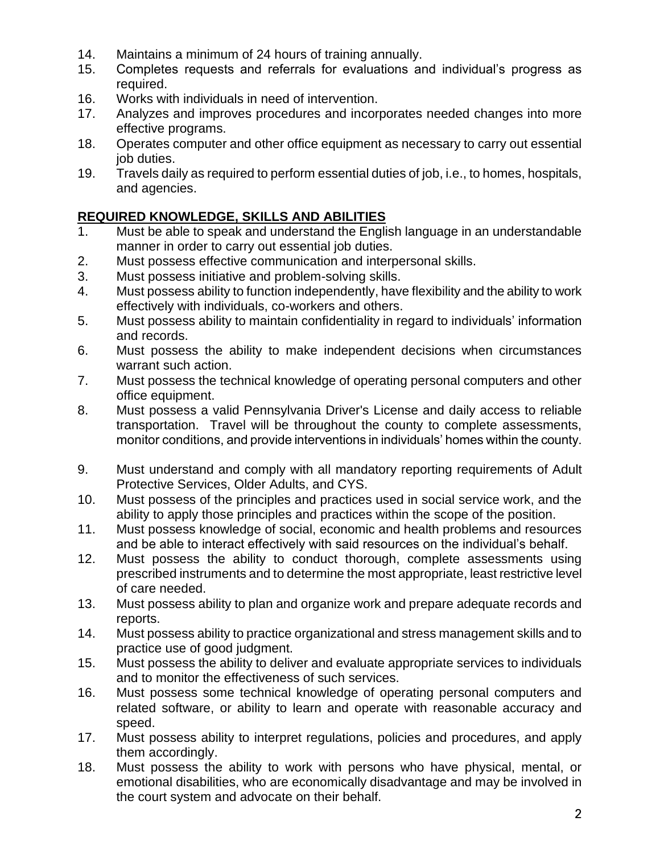- 14. Maintains a minimum of 24 hours of training annually.
- 15. Completes requests and referrals for evaluations and individual's progress as required.
- 16. Works with individuals in need of intervention.
- 17. Analyzes and improves procedures and incorporates needed changes into more effective programs.
- 18. Operates computer and other office equipment as necessary to carry out essential job duties.
- 19. Travels daily as required to perform essential duties of job, i.e., to homes, hospitals, and agencies.

### **REQUIRED KNOWLEDGE, SKILLS AND ABILITIES**

- 1. Must be able to speak and understand the English language in an understandable manner in order to carry out essential job duties.
- 2. Must possess effective communication and interpersonal skills.
- 3. Must possess initiative and problem-solving skills.
- 4. Must possess ability to function independently, have flexibility and the ability to work effectively with individuals, co-workers and others.
- 5. Must possess ability to maintain confidentiality in regard to individuals' information and records.
- 6. Must possess the ability to make independent decisions when circumstances warrant such action.
- 7. Must possess the technical knowledge of operating personal computers and other office equipment.
- 8. Must possess a valid Pennsylvania Driver's License and daily access to reliable transportation. Travel will be throughout the county to complete assessments, monitor conditions, and provide interventions in individuals' homes within the county.
- 9. Must understand and comply with all mandatory reporting requirements of Adult Protective Services, Older Adults, and CYS.
- 10. Must possess of the principles and practices used in social service work, and the ability to apply those principles and practices within the scope of the position.
- 11. Must possess knowledge of social, economic and health problems and resources and be able to interact effectively with said resources on the individual's behalf.
- 12. Must possess the ability to conduct thorough, complete assessments using prescribed instruments and to determine the most appropriate, least restrictive level of care needed.
- 13. Must possess ability to plan and organize work and prepare adequate records and reports.
- 14. Must possess ability to practice organizational and stress management skills and to practice use of good judgment.
- 15. Must possess the ability to deliver and evaluate appropriate services to individuals and to monitor the effectiveness of such services.
- 16. Must possess some technical knowledge of operating personal computers and related software, or ability to learn and operate with reasonable accuracy and speed.
- 17. Must possess ability to interpret regulations, policies and procedures, and apply them accordingly.
- 18. Must possess the ability to work with persons who have physical, mental, or emotional disabilities, who are economically disadvantage and may be involved in the court system and advocate on their behalf.